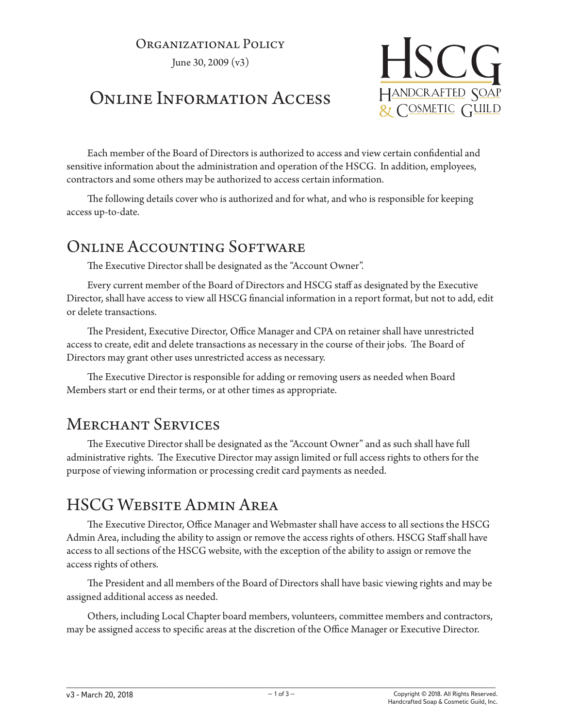#### Organizational Policy

June 30, 2009 (v3)

# Online Information Access



Each member of the Board of Directors is authorized to access and view certain confidential and sensitive information about the administration and operation of the HSCG. In addition, employees, contractors and some others may be authorized to access certain information.

The following details cover who is authorized and for what, and who is responsible for keeping access up-to-date.

### ONLINE ACCOUNTING SOFTWARE

The Executive Director shall be designated as the "Account Owner".

Every current member of the Board of Directors and HSCG staff as designated by the Executive Director, shall have access to view all HSCG financial information in a report format, but not to add, edit or delete transactions.

The President, Executive Director, Office Manager and CPA on retainer shall have unrestricted access to create, edit and delete transactions as necessary in the course of their jobs. The Board of Directors may grant other uses unrestricted access as necessary.

The Executive Director is responsible for adding or removing users as needed when Board Members start or end their terms, or at other times as appropriate.

### Merchant Services

The Executive Director shall be designated as the "Account Owner" and as such shall have full administrative rights. The Executive Director may assign limited or full access rights to others for the purpose of viewing information or processing credit card payments as needed.

### HSCG Website Admin Area

The Executive Director, Office Manager and Webmaster shall have access to all sections the HSCG Admin Area, including the ability to assign or remove the access rights of others. HSCG Staff shall have access to all sections of the HSCG website, with the exception of the ability to assign or remove the access rights of others.

The President and all members of the Board of Directors shall have basic viewing rights and may be assigned additional access as needed.

Others, including Local Chapter board members, volunteers, committee members and contractors, may be assigned access to specific areas at the discretion of the Office Manager or Executive Director.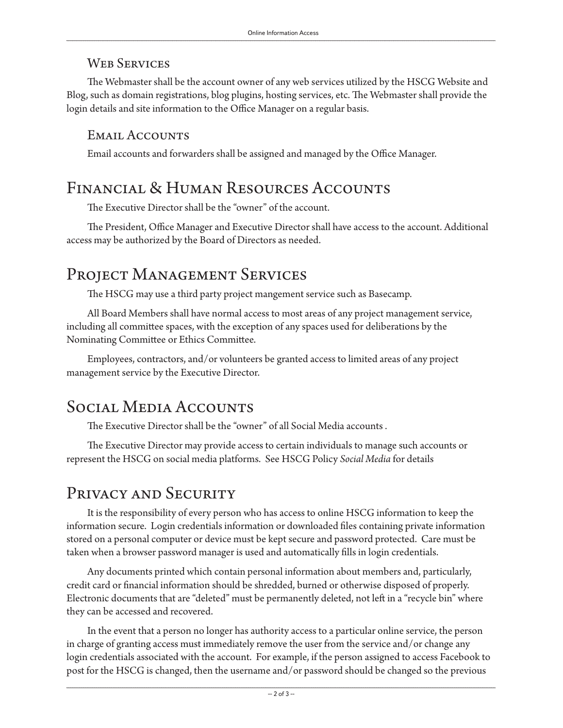#### WEB SERVICES

The Webmaster shall be the account owner of any web services utilized by the HSCG Website and Blog, such as domain registrations, blog plugins, hosting services, etc. The Webmaster shall provide the login details and site information to the Office Manager on a regular basis.

#### EMAIL ACCOUNTS

Email accounts and forwarders shall be assigned and managed by the Office Manager.

### Financial & Human Resources Accounts

The Executive Director shall be the "owner" of the account.

The President, Office Manager and Executive Director shall have access to the account. Additional access may be authorized by the Board of Directors as needed.

### PROJECT MANAGEMENT SERVICES

The HSCG may use a third party project mangement service such as Basecamp.

All Board Members shall have normal access to most areas of any project management service, including all committee spaces, with the exception of any spaces used for deliberations by the Nominating Committee or Ethics Committee.

Employees, contractors, and/or volunteers be granted access to limited areas of any project management service by the Executive Director.

# Social Media Accounts

The Executive Director shall be the "owner" of all Social Media accounts .

The Executive Director may provide access to certain individuals to manage such accounts or represent the HSCG on social media platforms. See HSCG Policy *Social Media* for details

# PRIVACY AND SECURITY

It is the responsibility of every person who has access to online HSCG information to keep the information secure. Login credentials information or downloaded files containing private information stored on a personal computer or device must be kept secure and password protected. Care must be taken when a browser password manager is used and automatically fills in login credentials.

Any documents printed which contain personal information about members and, particularly, credit card or financial information should be shredded, burned or otherwise disposed of properly. Electronic documents that are "deleted" must be permanently deleted, not left in a "recycle bin" where they can be accessed and recovered.

In the event that a person no longer has authority access to a particular online service, the person in charge of granting access must immediately remove the user from the service and/or change any login credentials associated with the account. For example, if the person assigned to access Facebook to post for the HSCG is changed, then the username and/or password should be changed so the previous